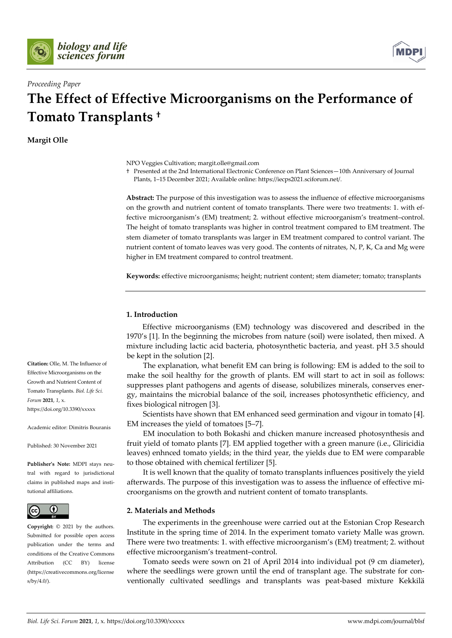



# *Proceeding Paper*

# **The Effect of Effective Microorganisms on the Performance of Tomato Transplants †**

**Margit Olle**

NPO Veggies Cultivation; margit.olle@gmail.com

† Presented at the 2nd International Electronic Conference on Plant Sciences—10th Anniversary of Journal Plants, 1–15 December 2021; Available online: https://iecps2021.sciforum.net/.

**Abstract:** The purpose of this investigation was to assess the influence of effective microorganisms on the growth and nutrient content of tomato transplants. There were two treatments: 1. with effective microorganism's (EM) treatment; 2. without effective microorganism's treatment–control. The height of tomato transplants was higher in control treatment compared to EM treatment. The stem diameter of tomato transplants was larger in EM treatment compared to control variant. The nutrient content of tomato leaves was very good. The contents of nitrates, N, P, K, Ca and Mg were higher in EM treatment compared to control treatment.

**Keywords:** effective microorganisms; height; nutrient content; stem diameter; tomato; transplants

# **1. Introduction**

Effective microorganisms (EM) technology was discovered and described in the 1970's [1]. In the beginning the microbes from nature (soil) were isolated, then mixed. A mixture including lactic acid bacteria, photosynthetic bacteria, and yeast. pH 3.5 should be kept in the solution [2].

The explanation, what benefit EM can bring is following: EM is added to the soil to make the soil healthy for the growth of plants. EM will start to act in soil as follows: suppresses plant pathogens and agents of disease, solubilizes minerals, conserves energy, maintains the microbial balance of the soil, increases photosynthetic efficiency, and fixes biological nitrogen [3].

Scientists have shown that EM enhanced seed germination and vigour in tomato [4]. EM increases the yield of tomatoes [5–7].

EM inoculation to both Bokashi and chicken manure increased photosynthesis and fruit yield of tomato plants [7]. EM applied together with a green manure (i.e., Gliricidia leaves) enhnced tomato yields; in the third year, the yields due to EM were comparable to those obtained with chemical fertilizer [5].

It is well known that the quality of tomato transplants influences positively the yield afterwards. The purpose of this investigation was to assess the influence of effective microorganisms on the growth and nutrient content of tomato transplants.

# **2. Materials and Methods**

The experiments in the greenhouse were carried out at the Estonian Crop Research Institute in the spring time of 2014. In the experiment tomato variety Malle was grown. There were two treatments: 1. with effective microorganism's (EM) treatment; 2. without effective microorganism's treatment–control.

Tomato seeds were sown on 21 of April 2014 into individual pot (9 cm diameter), where the seedlings were grown until the end of transplant age. The substrate for conventionally cultivated seedlings and transplants was peat-based mixture Kekkilä

**Citation:** Olle, M. The Influence of Effective Microorganisms on the Growth and Nutrient Content of Tomato Transplants. *Biol. Life Sci. Forum* **2021**, *1*, x. https://doi.org/10.3390/xxxxx

Academic editor: Dimitris Bouranis

Published: 30 November 2021

**Publisher's Note:** MDPI stays neutral with regard to jurisdictional claims in published maps and institutional affiliations.



**Copyright:** © 2021 by the authors. Submitted for possible open access publication under the terms and conditions of the Creative Commons Attribution (CC BY) license (https://creativecommons.org/license s/by/4.0/).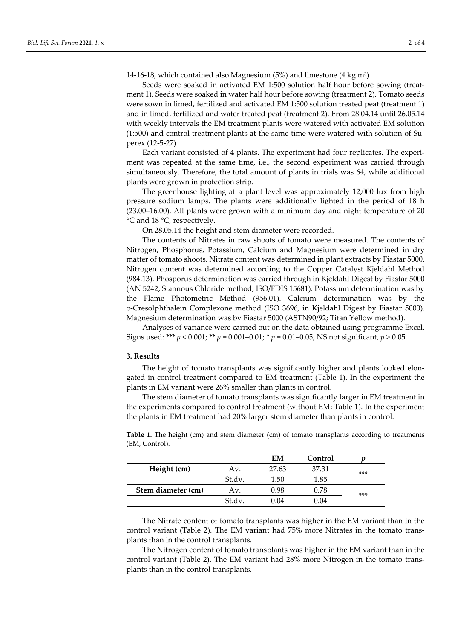14-16-18, which contained also Magnesium (5%) and limestone (4 kg m3).

Seeds were soaked in activated EM 1:500 solution half hour before sowing (treatment 1). Seeds were soaked in water half hour before sowing (treatment 2). Tomato seeds were sown in limed, fertilized and activated EM 1:500 solution treated peat (treatment 1) and in limed, fertilized and water treated peat (treatment 2). From 28.04.14 until 26.05.14 with weekly intervals the EM treatment plants were watered with activated EM solution (1:500) and control treatment plants at the same time were watered with solution of Superex (12-5-27).

Each variant consisted of 4 plants. The experiment had four replicates. The experiment was repeated at the same time, i.e., the second experiment was carried through simultaneously. Therefore, the total amount of plants in trials was 64, while additional plants were grown in protection strip.

The greenhouse lighting at a plant level was approximately 12,000 lux from high pressure sodium lamps. The plants were additionally lighted in the period of 18 h (23.00–16.00). All plants were grown with a minimum day and night temperature of 20 °C and 18 °C, respectively.

On 28.05.14 the height and stem diameter were recorded.

The contents of Nitrates in raw shoots of tomato were measured. The contents of Nitrogen, Phosphorus, Potassium, Calcium and Magnesium were determined in dry matter of tomato shoots. Nitrate content was determined in plant extracts by Fiastar 5000. Nitrogen content was determined according to the Copper Catalyst Kjeldahl Method (984.13). Phosporus determination was carried through in Kjeldahl Digest by Fiastar 5000 (AN 5242; Stannous Chloride method, ISO/FDIS 15681). Potassium determination was by the Flame Photometric Method (956.01). Calcium determination was by the o-Cresolphthalein Complexone method (ISO 3696, in Kjeldahl Digest by Fiastar 5000). Magnesium determination was by Fiastar 5000 (ASTN90/92; Titan Yellow method).

Analyses of variance were carried out on the data obtained using programme Excel. Signs used: \*\*\* *p* < 0.001; \*\* *p* = 0.001–0.01; \* *p* = 0.01–0.05; NS not significant, *p* > 0.05.

## **3. Results**

The height of tomato transplants was significantly higher and plants looked elongated in control treatment compared to EM treatment (Table 1). In the experiment the plants in EM variant were 26% smaller than plants in control.

The stem diameter of tomato transplants was significantly larger in EM treatment in the experiments compared to control treatment (without EM; Table 1). In the experiment the plants in EM treatment had 20% larger stem diameter than plants in control.

|                    |        | EM    | Control |       |
|--------------------|--------|-------|---------|-------|
| Height (cm)        | Av.    | 27.63 | 37.31   | $***$ |
|                    | St.dv. | 1.50  | 1.85    |       |
| Stem diameter (cm) | Av.    | 0.98  | 0.78    | $***$ |
|                    | St.dv. | በ በ4  | 0.04    |       |

Table 1. The height (cm) and stem diameter (cm) of tomato transplants according to treatments (EM, Control).

The Nitrate content of tomato transplants was higher in the EM variant than in the control variant (Table 2). The EM variant had 75% more Nitrates in the tomato transplants than in the control transplants.

The Nitrogen content of tomato transplants was higher in the EM variant than in the control variant (Table 2). The EM variant had 28% more Nitrogen in the tomato transplants than in the control transplants.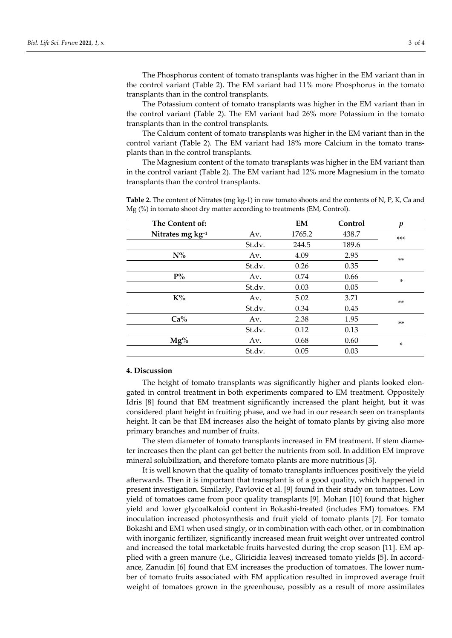The Phosphorus content of tomato transplants was higher in the EM variant than in the control variant (Table 2). The EM variant had 11% more Phosphorus in the tomato transplants than in the control transplants.

The Potassium content of tomato transplants was higher in the EM variant than in the control variant (Table 2). The EM variant had 26% more Potassium in the tomato transplants than in the control transplants.

The Calcium content of tomato transplants was higher in the EM variant than in the control variant (Table 2). The EM variant had 18% more Calcium in the tomato transplants than in the control transplants.

The Magnesium content of the tomato transplants was higher in the EM variant than in the control variant (Table 2). The EM variant had 12% more Magnesium in the tomato transplants than the control transplants.

| The Content of:           |        | EM     | Control | п      |
|---------------------------|--------|--------|---------|--------|
| Nitrates mg $kg^{-1}$     | Av.    | 1765.2 | 438.7   | $***$  |
|                           | St.dv. | 244.5  | 189.6   |        |
| $N\%$                     | Av.    | 4.09   | 2.95    | $**$   |
|                           | St.dv. | 0.26   | 0.35    |        |
| $\mathbf{P}^{o}\!/\!_{o}$ | Av.    | 0.74   | 0.66    | $\ast$ |
|                           | St.dv. | 0.03   | 0.05    |        |
| $K\%$                     | Av.    | 5.02   | 3.71    | $***$  |
|                           | St.dv. | 0.34   | 0.45    |        |
| Ca%                       | Av.    | 2.38   | 1.95    | $***$  |
|                           | St.dv. | 0.12   | 0.13    |        |
| $Mg\%$                    | Av.    | 0.68   | 0.60    | ×      |
|                           | St.dv. | 0.05   | 0.03    |        |

**Table 2.** The content of Nitrates (mg kg-1) in raw tomato shoots and the contents of N, P, K, Ca and Mg (%) in tomato shoot dry matter according to treatments (EM, Control).

#### **4. Discussion**

The height of tomato transplants was significantly higher and plants looked elongated in control treatment in both experiments compared to EM treatment. Oppositely Idris [8] found that EM treatment significantly increased the plant height, but it was considered plant height in fruiting phase, and we had in our research seen on transplants height. It can be that EM increases also the height of tomato plants by giving also more primary branches and number of fruits.

The stem diameter of tomato transplants increased in EM treatment. If stem diameter increases then the plant can get better the nutrients from soil. In addition EM improve mineral solubilization, and therefore tomato plants are more nutritious [3].

It is well known that the quality of tomato transplants influences positively the yield afterwards. Then it is important that transplant is of a good quality, which happened in present investigation. Similarly, Pavlovic et al. [9] found in their study on tomatoes. Low yield of tomatoes came from poor quality transplants [9]. Mohan [10] found that higher yield and lower glycoalkaloid content in Bokashi-treated (includes EM) tomatoes. EM inoculation increased photosynthesis and fruit yield of tomato plants [7]. For tomato Bokashi and EM1 when used singly, or in combination with each other, or in combination with inorganic fertilizer, significantly increased mean fruit weight over untreated control and increased the total marketable fruits harvested during the crop season [11]. EM applied with a green manure (i.e., Gliricidia leaves) increased tomato yields [5]. In accordance, Zanudin [6] found that EM increases the production of tomatoes. The lower number of tomato fruits associated with EM application resulted in improved average fruit weight of tomatoes grown in the greenhouse, possibly as a result of more assimilates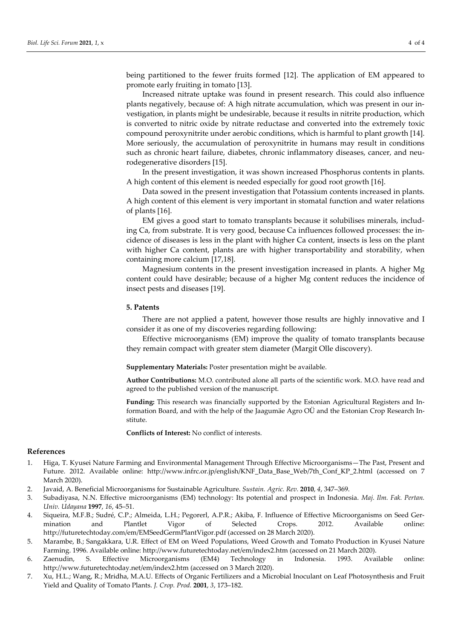being partitioned to the fewer fruits formed [12]. The application of EM appeared to promote early fruiting in tomato [13].

Increased nitrate uptake was found in present research. This could also influence plants negatively, because of: A high nitrate accumulation, which was present in our investigation, in plants might be undesirable, because it results in nitrite production, which is converted to nitric oxide by nitrate reductase and converted into the extremely toxic compound peroxynitrite under aerobic conditions, which is harmful to plant growth [14]. More seriously, the accumulation of peroxynitrite in humans may result in conditions such as chronic heart failure, diabetes, chronic inflammatory diseases, cancer, and neurodegenerative disorders [15].

In the present investigation, it was shown increased Phosphorus contents in plants. A high content of this element is needed especially for good root growth [16].

Data sowed in the present investigation that Potassium contents increased in plants. A high content of this element is very important in stomatal function and water relations of plants [16].

EM gives a good start to tomato transplants because it solubilises minerals, including Ca, from substrate. It is very good, because Ca influences followed processes: the incidence of diseases is less in the plant with higher Ca content, insects is less on the plant with higher Ca content, plants are with higher transportability and storability, when containing more calcium [17,18].

Magnesium contents in the present investigation increased in plants. A higher Mg content could have desirable; because of a higher Mg content reduces the incidence of insect pests and diseases [19].

#### **5. Patents**

There are not applied a patent, however those results are highly innovative and I consider it as one of my discoveries regarding following:

Effective microorganisms (EM) improve the quality of tomato transplants because they remain compact with greater stem diameter (Margit Olle discovery).

**Supplementary Materials:** Poster presentation might be available.

**Author Contributions:** M.O. contributed alone all parts of the scientific work. M.O. have read and agreed to the published version of the manuscript.

**Funding:** This research was financially supported by the Estonian Agricultural Registers and Information Board, and with the help of the Jaagumäe Agro OÜ and the Estonian Crop Research Institute.

**Conflicts of Interest:** No conflict of interests.

### **References**

- 1. Higa, T. Kyusei Nature Farming and Environmental Management Through Effective Microorganisms—The Past, Present and Future. 2012. Available online: http://www.infrc.or.jp/english/KNF\_Data\_Base\_Web/7th\_Conf\_KP\_2.html (accessed on 7 March 2020).
- 2. Javaid, A. Beneficial Microorganisms for Sustainable Agriculture. *Sustain. Agric. Rev.* **2010**, *4*, 347–369.
- 3. Subadiyasa, N.N. Effective microorganisms (EM) technology: Its potential and prospect in Indonesia. *Maj. Ilm. Fak. Pertan. Univ. Udayana* **1997**, *16*, 45–51.
- 4. Siqueira, M.F.B.; Sudré, C.P.; Almeida, L.H.; Pegorerl, A.P.R.; Akiba, F. Influence of Effective Microorganisms on Seed Germination and Plantlet Vigor of Selected Crops. 2012. Available online: http://futuretechtoday.com/em/EMSeedGermPlantVigor.pdf (accessed on 28 March 2020).
- 5. Marambe, B.; Sangakkara, U.R. Effect of EM on Weed Populations, Weed Growth and Tomato Production in Kyusei Nature Farming. 1996. Available online: http://www.futuretechtoday.net/em/index2.htm (accessed on 21 March 2020).
- 6. Zaenudin, S. Effective Microorganisms (EM4) Technology in Indonesia. 1993. Available online: http://www.futuretechtoday.net/em/index2.htm (accessed on 3 March 2020).
- 7. Xu, H.L.; Wang, R.; Mridha, M.A.U. Effects of Organic Fertilizers and a Microbial Inoculant on Leaf Photosynthesis and Fruit Yield and Quality of Tomato Plants. *J. Crop. Prod.* **2001**, *3*, 173–182.